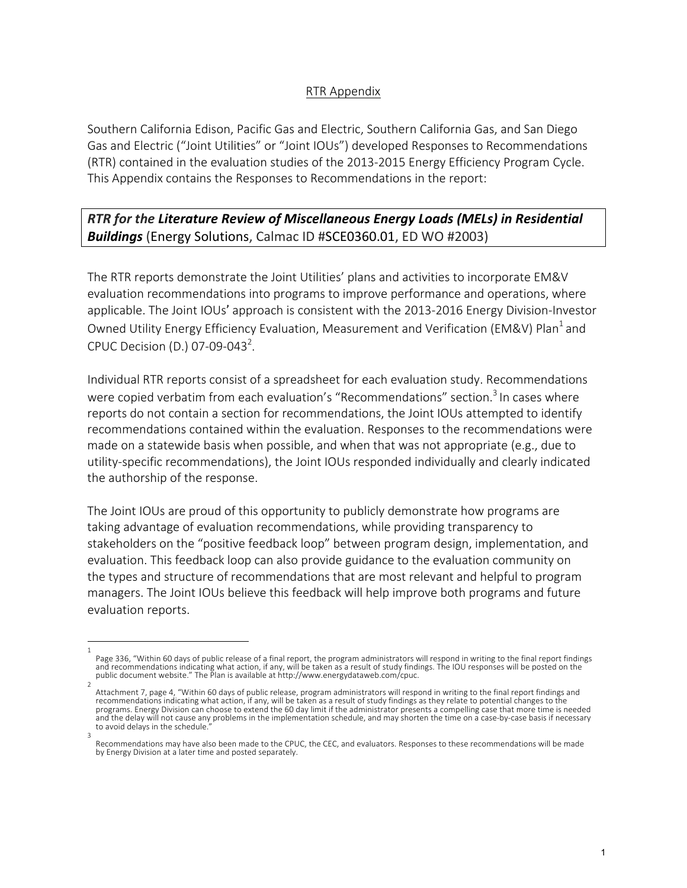## RTR Appendix

Southern California Edison, Pacific Gas and Electric, Southern California Gas, and San Diego Gas and Electric ("Joint Utilities" or "Joint IOUs") developed Responses to Recommendations (RTR) contained in the evaluation studies of the 2013-2015 Energy Efficiency Program Cycle. This Appendix contains the Responses to Recommendations in the report:

*RTR* for the Literature Review of Miscellaneous Energy Loads (MELs) in Residential **Buildings** (Energy Solutions, Calmac ID #SCE0360.01, ED WO #2003)

The RTR reports demonstrate the Joint Utilities' plans and activities to incorporate EM&V evaluation recommendations into programs to improve performance and operations, where applicable. The Joint IOUs' approach is consistent with the 2013-2016 Energy Division-Investor Owned Utility Energy Efficiency Evaluation, Measurement and Verification (EM&V) Plan<sup>1</sup> and CPUC Decision (D.) 07-09-043<sup>2</sup>.

Individual RTR reports consist of a spreadsheet for each evaluation study. Recommendations were copied verbatim from each evaluation's "Recommendations" section.<sup>3</sup> In cases where reports do not contain a section for recommendations, the Joint IOUs attempted to identify recommendations contained within the evaluation. Responses to the recommendations were made on a statewide basis when possible, and when that was not appropriate (e.g., due to utility-specific recommendations), the Joint IOUs responded individually and clearly indicated the authorship of the response.

The Joint IOUs are proud of this opportunity to publicly demonstrate how programs are taking advantage of evaluation recommendations, while providing transparency to stakeholders on the "positive feedback loop" between program design, implementation, and evaluation. This feedback loop can also provide guidance to the evaluation community on the types and structure of recommendations that are most relevant and helpful to program managers. The Joint IOUs believe this feedback will help improve both programs and future evaluation reports.

<sup>1</sup>  Page 336, "Within 60 days of public release of a final report, the program administrators will respond in writing to the final report findings and recommendations indicating what action, if any, will be taken as a result of study findings. The IOU responses will be posted on the public document website." The Plan is available at http://www.energydataweb.com/cpuc.

<sup>2</sup>  Attachment 7, page 4, "Within 60 days of public release, program administrators will respond in writing to the final report findings and recommendations indicating what action, if any, will be taken as a result of study findings as they relate to potential changes to the programs. Energy Division can choose to extend the 60 day limit if the administrator presents a compelling case that more time is needed and the delay will not cause any problems in the implementation schedule, and may shorten the time on a case-by-case basis if necessary to avoid delays in the schedule. 3 

Recommendations may have also been made to the CPUC, the CEC, and evaluators. Responses to these recommendations will be made by Energy Division at a later time and posted separately.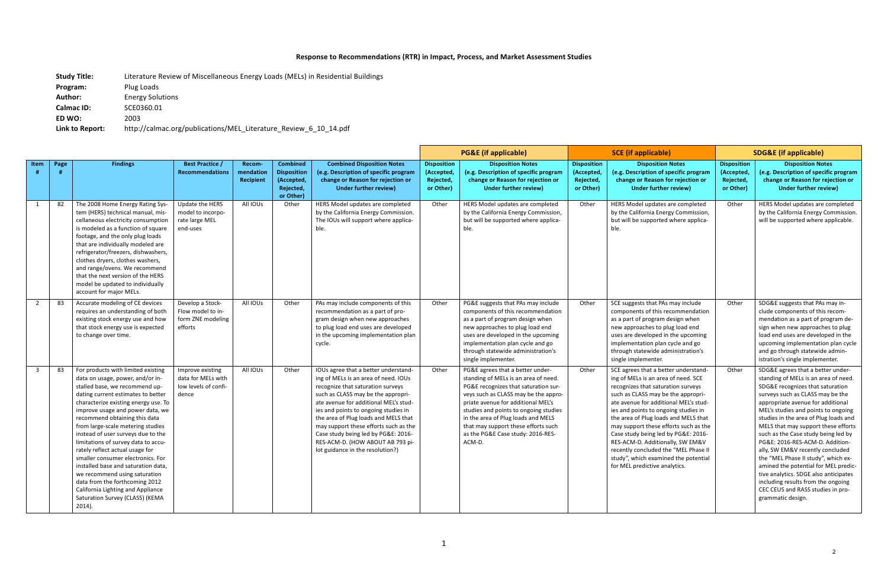## Response to Recommendations (RTR) in Impact, Process, and Market Assessment Studies

**Study Title:** Literature Review of Miscellaneous Energy Loads (MELs) in Residential Buildings **Program:** Plug Loads Author: Energy Solutions **Calmac ID:** SCE0360.01 **ED WO:**  2003 Link to Report: http://calmac.org/publications/MEL\_Literature\_Review\_6\_10\_14.pdf

|                         |      |                                                                                                                                                                                                                                                                                                                                                                                                                                                                                                                                                                                                                                                   |                                                                         |                                         |                                                                               |                                                                                                                                                                                                                                                                                                                                                                                                                                          |                                                            | <b>PG&amp;E (if applicable)</b>                                                                                                                                                                                                                                                                                                                                     | <b>SCE (if applicable)</b>                                |                                                                                                                                                                                                                                                                                                                                                                                                                                                                                                                       | <b>SDG&amp;E (if applicable)</b>                           |                                                                                                                                                                                                                                                                                                                                                                                                                                                                                                                                                                                                                                                     |
|-------------------------|------|---------------------------------------------------------------------------------------------------------------------------------------------------------------------------------------------------------------------------------------------------------------------------------------------------------------------------------------------------------------------------------------------------------------------------------------------------------------------------------------------------------------------------------------------------------------------------------------------------------------------------------------------------|-------------------------------------------------------------------------|-----------------------------------------|-------------------------------------------------------------------------------|------------------------------------------------------------------------------------------------------------------------------------------------------------------------------------------------------------------------------------------------------------------------------------------------------------------------------------------------------------------------------------------------------------------------------------------|------------------------------------------------------------|---------------------------------------------------------------------------------------------------------------------------------------------------------------------------------------------------------------------------------------------------------------------------------------------------------------------------------------------------------------------|-----------------------------------------------------------|-----------------------------------------------------------------------------------------------------------------------------------------------------------------------------------------------------------------------------------------------------------------------------------------------------------------------------------------------------------------------------------------------------------------------------------------------------------------------------------------------------------------------|------------------------------------------------------------|-----------------------------------------------------------------------------------------------------------------------------------------------------------------------------------------------------------------------------------------------------------------------------------------------------------------------------------------------------------------------------------------------------------------------------------------------------------------------------------------------------------------------------------------------------------------------------------------------------------------------------------------------------|
| Item                    | Page | <b>Findings</b>                                                                                                                                                                                                                                                                                                                                                                                                                                                                                                                                                                                                                                   | <b>Best Practice /</b><br><b>Recommendations</b>                        | Recom-<br>mendation<br><b>Recipient</b> | <b>Combined</b><br><b>Disposition</b><br>(Accepted,<br>Rejected,<br>or Other) | <b>Combined Disposition Notes</b><br>(e.g. Description of specific program<br>change or Reason for rejection or<br>Under further review)                                                                                                                                                                                                                                                                                                 | <b>Disposition</b><br>(Accepted,<br>Rejected,<br>or Other) | <b>Disposition Notes</b><br>(e.g. Description of specific program<br>change or Reason for rejection or<br>Under further review)                                                                                                                                                                                                                                     | <b>Disposition</b><br>(Accepted<br>Rejected,<br>or Other) | <b>Disposition Notes</b><br>(e.g. Description of specific program<br>change or Reason for rejection or<br>Under further review)                                                                                                                                                                                                                                                                                                                                                                                       | <b>Disposition</b><br>(Accepted,<br>Rejected,<br>or Other) | <b>Disposition Notes</b><br>(e.g. Description of specific program<br>change or Reason for rejection or<br>Under further review)                                                                                                                                                                                                                                                                                                                                                                                                                                                                                                                     |
| 1                       | 82   | The 2008 Home Energy Rating Sys-<br>tem (HERS) technical manual, mis-<br>cellaneous electricity consumption<br>is modeled as a function of square<br>footage, and the only plug loads<br>that are individually modeled are<br>refrigerator/freezers, dishwashers,<br>clothes dryers, clothes washers,<br>and range/ovens. We recommend<br>that the next version of the HERS<br>model be updated to individually<br>account for major MELs.                                                                                                                                                                                                        | Update the HERS<br>model to incorpo-<br>rate large MEL<br>end-uses      | All IOUs                                | Other                                                                         | HERS Model updates are completed<br>by the California Energy Commission.<br>The IOUs will support where applica-<br>ble.                                                                                                                                                                                                                                                                                                                 | Other                                                      | HERS Model updates are completed<br>by the California Energy Commission,<br>but will be supported where applica-<br>ble.                                                                                                                                                                                                                                            | Other                                                     | HERS Model updates are completed<br>by the California Energy Commission,<br>but will be supported where applica-<br>ble.                                                                                                                                                                                                                                                                                                                                                                                              | Other                                                      | HERS Model updates are completed<br>by the California Energy Commission.<br>will be supported where applicable.                                                                                                                                                                                                                                                                                                                                                                                                                                                                                                                                     |
| $\overline{2}$          | 83   | Accurate modeling of CE devices<br>requires an understanding of both<br>existing stock energy use and how<br>that stock energy use is expected<br>to change over time.                                                                                                                                                                                                                                                                                                                                                                                                                                                                            | Develop a Stock-<br>Flow model to in-<br>form ZNE modeling<br>efforts   | All IOUs                                | Other                                                                         | PAs may include components of this<br>recommendation as a part of pro-<br>gram design when new approaches<br>to plug load end uses are developed<br>in the upcoming implementation plan<br>cycle.                                                                                                                                                                                                                                        | Other                                                      | PG&E suggests that PAs may include<br>components of this recommendation<br>as a part of program design when<br>new approaches to plug load end<br>uses are developed in the upcoming<br>implementation plan cycle and go<br>through statewide administration's<br>single implementer.                                                                               | Other                                                     | SCE suggests that PAs may include<br>components of this recommendation<br>as a part of program design when<br>new approaches to plug load end<br>uses are developed in the upcoming<br>implementation plan cycle and go<br>through statewide administration's<br>single implementer.                                                                                                                                                                                                                                  | Other                                                      | SDG&E suggests that PAs may in-<br>clude components of this recom-<br>mendation as a part of program de-<br>sign when new approaches to plug<br>load end uses are developed in the<br>upcoming implementation plan cycle<br>and go through statewide admin-<br>istration's single implementer.                                                                                                                                                                                                                                                                                                                                                      |
| $\overline{\mathbf{3}}$ | 83   | For products with limited existing<br>data on usage, power, and/or in-<br>stalled base, we recommend up-<br>dating current estimates to better<br>characterize existing energy use. To<br>improve usage and power data, we<br>recommend obtaining this data<br>from large-scale metering studies<br>instead of user surveys due to the<br>limitations of survey data to accu-<br>rately reflect actual usage for<br>smaller consumer electronics. For<br>installed base and saturation data.<br>we recommend using saturation<br>data from the forthcoming 2012<br>California Lighting and Appliance<br>Saturation Survey (CLASS) (KEMA<br>2014). | Improve existing<br>data for MELs with<br>low levels of confi-<br>dence | All IOUs                                | Other                                                                         | IOUs agree that a better understand-<br>ing of MELs is an area of need. IOUs<br>recognize that saturation surveys<br>such as CLASS may be the appropri-<br>ate avenue for additional MEL's stud-<br>ies and points to ongoing studies in<br>the area of Plug loads and MELS that<br>may support these efforts such as the<br>Case study being led by PG&E: 2016-<br>RES-ACM-D. (HOW ABOUT AB 793 pi-<br>lot guidance in the resolution?) | Other                                                      | PG&E agrees that a better under-<br>standing of MELs is an area of need.<br>PG&E recognizes that saturation sur-<br>veys such as CLASS may be the appro-<br>priate avenue for additional MEL's<br>studies and points to ongoing studies<br>in the area of Plug loads and MELS<br>that may support these efforts such<br>as the PG&E Case study: 2016-RES-<br>ACM-D. | Other                                                     | SCE agrees that a better understand-<br>ing of MELs is an area of need. SCE<br>recognizes that saturation surveys<br>such as CLASS may be the appropri-<br>ate avenue for additional MEL's stud-<br>ies and points to ongoing studies in<br>the area of Plug loads and MELS that<br>may support these efforts such as the<br>Case study being led by PG&E: 2016-<br>RES-ACM-D. Additionally, SW EM&V<br>recently concluded the "MEL Phase II<br>study", which examined the potential<br>for MEL predictive analytics. | Other                                                      | SDG&E agrees that a better under-<br>standing of MELs is an area of need.<br>SDG&E recognizes that saturation<br>surveys such as CLASS may be the<br>appropriate avenue for additional<br>MEL's studies and points to ongoing<br>studies in the area of Plug loads and<br>MELS that may support these efforts<br>such as the Case study being led by<br>PG&E: 2016-RES-ACM-D. Addition-<br>ally, SW EM&V recently concluded<br>the "MEL Phase II study", which ex-<br>amined the potential for MEL predic-<br>tive analytics. SDGE also anticipates<br>including results from the ongoing<br>CEC CEUS and RASS studies in pro-<br>grammatic design. |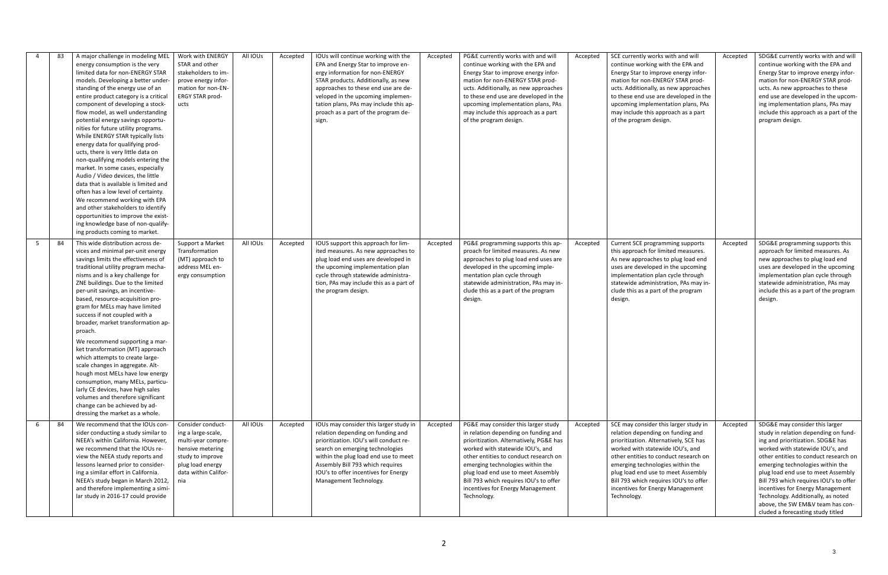|   | 83 | A major challenge in modeling MEL<br>energy consumption is the very<br>limited data for non-ENERGY STAR<br>models. Developing a better under-<br>standing of the energy use of an<br>entire product category is a critical<br>component of developing a stock-<br>flow model, as well understanding<br>potential energy savings opportu-<br>nities for future utility programs.<br>While ENERGY STAR typically lists<br>energy data for qualifying prod-<br>ucts, there is very little data on<br>non-qualifying models entering the<br>market. In some cases, especially<br>Audio / Video devices, the little<br>data that is available is limited and<br>often has a low level of certainty.<br>We recommend working with EPA<br>and other stakeholders to identify<br>opportunities to improve the exist-<br>ing knowledge base of non-qualify-<br>ing products coming to market. | Work with ENERGY<br>STAR and other<br>stakeholders to im-<br>prove energy infor-<br>mation for non-EN-<br>ERGY STAR prod-<br>ucts                        | All IOUs | Accepted | IOUs will continue working with the<br>EPA and Energy Star to improve en-<br>ergy information for non-ENERGY<br>STAR products. Additionally, as new<br>approaches to these end use are de-<br>veloped in the upcoming implemen-<br>tation plans, PAs may include this ap-<br>proach as a part of the program de-<br>sign. | Accepted | PG&E currently works with and will<br>continue working with the EPA and<br>Energy Star to improve energy infor-<br>mation for non-ENERGY STAR prod-<br>ucts. Additionally, as new approaches<br>to these end use are developed in the<br>upcoming implementation plans, PAs<br>may include this approach as a part<br>of the program design.                               | Accepted | SCE currently works with and will<br>continue working with the EPA and<br>Energy Star to improve energy infor-<br>mation for non-ENERGY STAR prod-<br>ucts. Additionally, as new approaches<br>to these end use are developed in the<br>upcoming implementation plans, PAs<br>may include this approach as a part<br>of the program design.                              | Accepted | SDG&E currently works with and will<br>continue working with the EPA and<br>Energy Star to improve energy infor-<br>mation for non-ENERGY STAR prod-<br>ucts. As new approaches to these<br>end use are developed in the upcom-<br>ing implementation plans, PAs may<br>include this approach as a part of the<br>program design.                                                                                                                               |
|---|----|--------------------------------------------------------------------------------------------------------------------------------------------------------------------------------------------------------------------------------------------------------------------------------------------------------------------------------------------------------------------------------------------------------------------------------------------------------------------------------------------------------------------------------------------------------------------------------------------------------------------------------------------------------------------------------------------------------------------------------------------------------------------------------------------------------------------------------------------------------------------------------------|----------------------------------------------------------------------------------------------------------------------------------------------------------|----------|----------|---------------------------------------------------------------------------------------------------------------------------------------------------------------------------------------------------------------------------------------------------------------------------------------------------------------------------|----------|----------------------------------------------------------------------------------------------------------------------------------------------------------------------------------------------------------------------------------------------------------------------------------------------------------------------------------------------------------------------------|----------|--------------------------------------------------------------------------------------------------------------------------------------------------------------------------------------------------------------------------------------------------------------------------------------------------------------------------------------------------------------------------|----------|-----------------------------------------------------------------------------------------------------------------------------------------------------------------------------------------------------------------------------------------------------------------------------------------------------------------------------------------------------------------------------------------------------------------------------------------------------------------|
| 5 | 84 | This wide distribution across de-<br>vices and minimal per-unit energy<br>savings limits the effectiveness of<br>traditional utility program mecha-<br>nisms and is a key challenge for<br>ZNE buildings. Due to the limited<br>per-unit savings, an incentive-<br>based, resource-acquisition pro-<br>gram for MELs may have limited<br>success if not coupled with a<br>broader, market transformation ap-<br>proach.<br>We recommend supporting a mar-<br>ket transformation (MT) approach<br>which attempts to create large-<br>scale changes in aggregate. Alt-<br>hough most MELs have low energy<br>consumption, many MELs, particu-<br>larly CE devices, have high sales<br>volumes and therefore significant<br>change can be achieved by ad-<br>dressing the market as a whole.                                                                                            | Support a Market<br>Transformation<br>(MT) approach to<br>address MEL en-<br>ergy consumption                                                            | All IOUs | Accepted | IOUS support this approach for lim-<br>ited measures. As new approaches to<br>plug load end uses are developed in<br>the upcoming implementation plan<br>cycle through statewide administra-<br>tion, PAs may include this as a part of<br>the program design.                                                            | Accepted | PG&E programming supports this ap-<br>proach for limited measures. As new<br>approaches to plug load end uses are<br>developed in the upcoming imple-<br>mentation plan cycle through<br>statewide administration, PAs may in-<br>clude this as a part of the program<br>design.                                                                                           | Accepted | Current SCE programming supports<br>this approach for limited measures.<br>As new approaches to plug load end<br>uses are developed in the upcoming<br>implementation plan cycle through<br>statewide administration, PAs may in-<br>clude this as a part of the program<br>design.                                                                                      | Accepted | SDG&E programming supports this<br>approach for limited measures. As<br>new approaches to plug load end<br>uses are developed in the upcoming<br>implementation plan cycle through<br>statewide administration, PAs may<br>include this as a part of the program<br>design.                                                                                                                                                                                     |
| 6 | 84 | We recommend that the IOUs con-<br>sider conducting a study similar to<br>NEEA's within California. However,<br>we recommend that the IOUs re-<br>view the NEEA study reports and<br>lessons learned prior to consider-<br>ing a similar effort in California.<br>NEEA's study began in March 2012,<br>and therefore implementing a simi-<br>lar study in 2016-17 could provide                                                                                                                                                                                                                                                                                                                                                                                                                                                                                                      | Consider conduct-<br>ing a large-scale,<br>multi-year compre-<br>hensive metering<br>study to improve<br>plug load energy<br>data within Califor-<br>nia | All IOUs | Accepted | IOUs may consider this larger study in<br>relation depending on funding and<br>prioritization. IOU's will conduct re-<br>search on emerging technologies<br>within the plug load end use to meet<br>Assembly Bill 793 which requires<br>IOU's to offer incentives for Energy<br>Management Technology.                    | Accepted | PG&E may consider this larger study<br>in relation depending on funding and<br>prioritization. Alternatively, PG&E has<br>worked with statewide IOU's, and<br>other entities to conduct research on<br>emerging technologies within the<br>plug load end use to meet Assembly<br>Bill 793 which requires IOU's to offer<br>incentives for Energy Management<br>Technology. | Accepted | SCE may consider this larger study in<br>relation depending on funding and<br>prioritization. Alternatively, SCE has<br>worked with statewide IOU's, and<br>other entities to conduct research on<br>emerging technologies within the<br>plug load end use to meet Assembly<br>Bill 793 which requires IOU's to offer<br>incentives for Energy Management<br>Technology. | Accepted | SDG&E may consider this larger<br>study in relation depending on fund-<br>ing and prioritization. SDG&E has<br>worked with statewide IOU's, and<br>other entities to conduct research on<br>emerging technologies within the<br>plug load end use to meet Assembly<br>Bill 793 which requires IOU's to offer<br>incentives for Energy Management<br>Technology. Additionally, as noted<br>above, the SW EM&V team has con-<br>cluded a forecasting study titled |